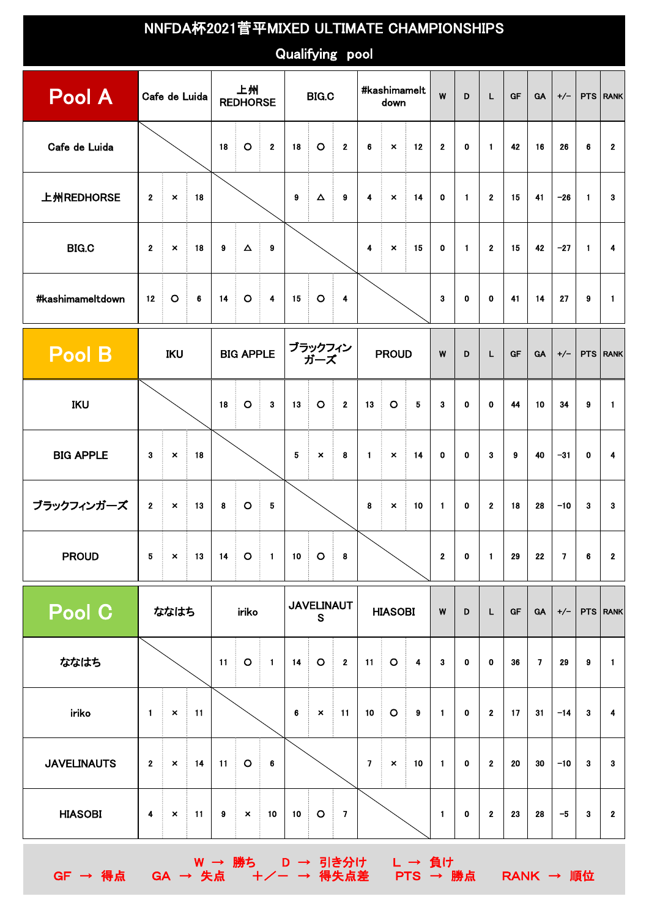|                    |                                                     |                  | NNFDA杯2021菅平MIXED ULTIMATE CHAMPIONSHIPS |           |                                        |                                                 |                                                               |                            |                                  |                         |                          |                |                |              |              |                 |                |                |                         |                 |
|--------------------|-----------------------------------------------------|------------------|------------------------------------------|-----------|----------------------------------------|-------------------------------------------------|---------------------------------------------------------------|----------------------------|----------------------------------|-------------------------|--------------------------|----------------|----------------|--------------|--------------|-----------------|----------------|----------------|-------------------------|-----------------|
| Qualifying pool    |                                                     |                  |                                          |           |                                        |                                                 |                                                               |                            |                                  |                         |                          |                |                |              |              |                 |                |                |                         |                 |
| Pool A             |                                                     | Cafe de Luida    |                                          |           | 上州<br><b>REDHORSE</b>                  |                                                 |                                                               | <b>BIG.C</b>               |                                  |                         | #kashimamelt<br>down     |                | W              | D            | L.           | GF              | <b>GA</b>      | $+/-$          |                         | <b>PTS RANK</b> |
| Cafe de Luida      |                                                     |                  |                                          |           | $\circ$<br>÷                           | $\mathcal{A}_{\mathcal{A}}$<br>$\mathbf{2}$     | 18                                                            | $\circ$                    | $\mathbf{2}$                     | 6                       | $\pmb{\times}$           | $-12$          | $\mathbf{2}$   | $\mathbf{0}$ | $\mathbf{1}$ | 42              | 16             | 26             | 6                       | $\mathbf{2}$    |
| 上州REDHORSE         | Ť.<br>18<br>$\mathbf{2}$<br>$\pmb{\times}$          |                  |                                          |           |                                        |                                                 | 9                                                             | $\Delta$                   | 9                                | $\overline{\mathbf{4}}$ | $\pmb{\times}$           | 14             | 0              | $\mathbf{1}$ | $\mathbf{2}$ | 15              | 41             | $-26$          | $\mathbf{1}$            | 3               |
| <b>BIG.C</b>       | ÷<br>$-18$<br>$\mathbf{2}$<br>$\boldsymbol{\times}$ |                  |                                          | 9         | $\Delta$                               | $\mathcal{L}_{\mathcal{A}}$<br>9                |                                                               |                            |                                  | 4                       | $\pmb{\times}$           | ÷.<br>15       | 0              | $\mathbf{1}$ | $\mathbf{2}$ | 15              | 42             | $-27$          | $\blacksquare$          | 4               |
| #kashimameltdown   | $\circ$<br>12<br>÷<br>$6\phantom{1}6$               |                  |                                          | 14        | $\circ$<br>÷                           | 4                                               | $\circ$<br>$\mathcal{L}_{\rm{max}}$<br>15<br>$\boldsymbol{4}$ |                            |                                  |                         | 3                        | $\mathbf{0}$   | $\mathbf 0$    | 41           | 14           | 27              | 9              | $\mathbf{1}$   |                         |                 |
| Pool B             | <b>IKU</b>                                          |                  | <b>BIG APPLE</b>                         |           | ブラックフィン<br>ガーズ                         |                                                 | <b>PROUD</b>                                                  |                            | W                                | D                       | L                        | <b>GF</b>      | <b>GA</b>      | $+/-$        |              | <b>PTS RANK</b> |                |                |                         |                 |
| <b>IKU</b>         |                                                     |                  |                                          | 18        | $\circ$                                | ÷<br>3                                          | 13                                                            | $\circ$                    | ÷.<br>$\mathbf 2$                | 13                      | $\circ$                  | 5              | 3              | $\mathbf 0$  | $\mathbf 0$  | 44              | 10             | 34             | 9                       | $\mathbf{1}$    |
| <b>BIG APPLE</b>   | $\mathbf{3}$                                        | $\pmb{\times}$   | 18<br>÷.                                 |           |                                        |                                                 | ${\bf 5}$                                                     | $\pmb{\times}$             | 8                                | $\mathbf{1}$            | $\boldsymbol{\times}$    | $-14$          | 0              | $\mathbf 0$  | 3            | 9               | 40             | $-31$          | 0                       | 4               |
| ブラックフィンガーズ         |                                                     | $2 \times$<br>13 |                                          |           | 8 O                                    | 5                                               |                                                               |                            |                                  |                         | $8 \times 10$            |                | $\mathbf{1}$   | 0            | z            | 18              | 28             | $-10$          | $\overline{\mathbf{3}}$ | $\bf{3}$        |
| <b>PROUD</b>       | 5 <sub>5</sub>                                      | $\mathbf{X}$     | 13                                       |           | $14$ O                                 | $\sim 1$                                        | 10                                                            | $\overline{\phantom{a}}$ O | $\mathcal{A}^{\mathcal{A}}$<br>8 |                         |                          |                | $\mathbf{2}$   | 0            | $\mathbf{1}$ | 29              | 22             | $\overline{7}$ | 6                       | $\mathbf{2}$    |
| Pool C             | ななはち                                                |                  | iriko                                    |           | <b>JAVELINAUT</b><br>$\mathbf S$       |                                                 | <b>HIASOBI</b>                                                |                            | $\boldsymbol{\mathsf{W}}$        | D                       | L                        | GF             | <b>GA</b>      | $+/-$        |              | PTS RANK        |                |                |                         |                 |
| ななはち               |                                                     |                  |                                          | 11        | $\circ$<br>$\mathcal{A}_{\mathcal{A}}$ | $\sim$ 1                                        | 14                                                            | $\overline{\phantom{a}}$   | $\overline{\phantom{a}}$ 2       | 11                      | $\overline{\phantom{a}}$ | $\blacksquare$ | 3              | $\mathbf 0$  | $\mathbf 0$  | 36              | $\overline{7}$ | 29             | 9                       | $\blacksquare$  |
| iriko              |                                                     | $1 \times 11$    |                                          |           |                                        |                                                 | $\bf 6$                                                       | $\pmb{\times}$             | $-11$                            | 10 <sub>1</sub>         | $\overline{\phantom{a}}$ | $\pmb{9}$      | $\blacksquare$ | 0            | $\mathbf{2}$ | 17              | 31             | $-14$          | 3                       | 4               |
| <b>JAVELINAUTS</b> | $\mathbf{2}$<br>14<br>$\boldsymbol{\mathsf{x}}$     |                  |                                          | 11        | $\circ$<br>÷.                          | $\mathcal{L}_{\mathcal{A}}$<br>$\boldsymbol{6}$ |                                                               |                            |                                  | $\overline{7}$          | $\pmb{\times}$           | 10             | $\mathbf{1}$   | $\mathbf 0$  | $\mathbf{2}$ | 20              | 30             | $-10$          | 3                       | 3               |
| <b>HIASOBI</b>     | $\blacktriangleleft$                                | $\pmb{\times}$   | $\frac{1}{2}$ 11                         | $\pmb{9}$ | $\mathbf{x}$                           | 10                                              | 10                                                            | $\overline{\phantom{a}}$ 0 | $\overline{7}$                   |                         |                          |                | $\mathbf{1}$   | $\mathbf 0$  | $\mathbf{2}$ | 23              | 28             | $-5$           | $\mathbf{3}$            | $\mathbf{2}$    |
|                    |                                                     |                  |                                          |           |                                        |                                                 |                                                               | W → 勝ち D → 引き分け L → 負け     |                                  |                         |                          |                |                |              |              |                 |                |                |                         |                 |

GF → 得点 GA → 失点 +/- → 得失点差 PTS → 勝点 RANK → 順位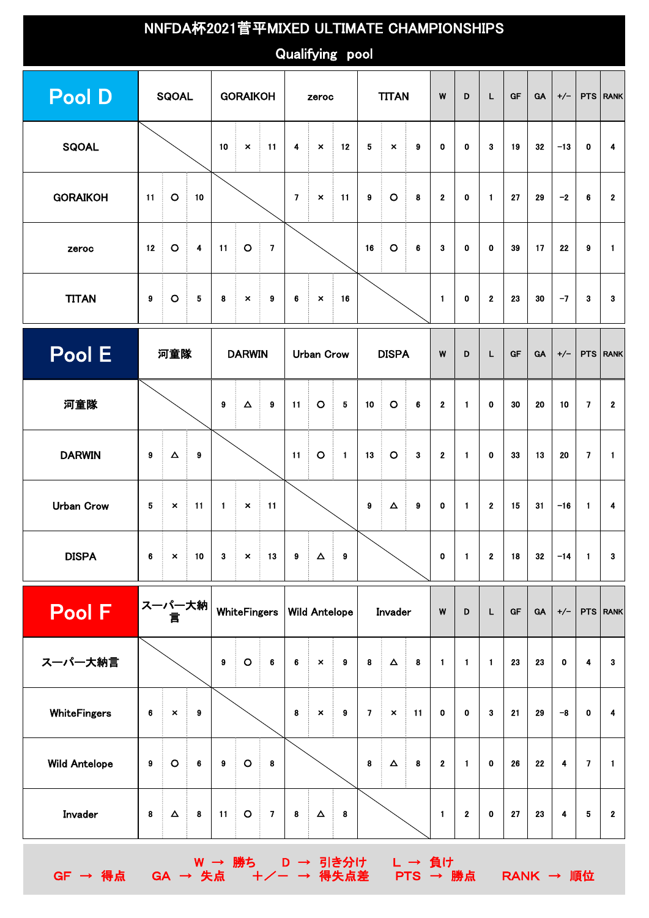|                      | NNFDA杯2021菅平MIXED ULTIMATE CHAMPIONSHIPS |                |                 |                                    |                          |                                               |                  |                           |                        |                                 |                       |                            |                        |              |                |           |           |                         |                 |                  |
|----------------------|------------------------------------------|----------------|-----------------|------------------------------------|--------------------------|-----------------------------------------------|------------------|---------------------------|------------------------|---------------------------------|-----------------------|----------------------------|------------------------|--------------|----------------|-----------|-----------|-------------------------|-----------------|------------------|
|                      |                                          |                |                 |                                    |                          |                                               |                  |                           | Qualifying pool        |                                 |                       |                            |                        |              |                |           |           |                         |                 |                  |
| <b>Pool D</b>        |                                          | <b>SQOAL</b>   |                 |                                    | <b>GORAIKOH</b>          |                                               |                  | zeroc                     |                        |                                 | <b>TITAN</b>          |                            | W                      | D            | L              | <b>GF</b> | <b>GA</b> | $+/-$                   |                 | PTS RANK         |
| <b>SQOAL</b>         |                                          |                |                 | 10<br>$\pmb{\times}$<br>$-11$<br>÷ |                          | 4                                             | $\pmb{\times}$   | $-12$                     | 5                      | Ť.<br>$\boldsymbol{\mathsf{x}}$ | ÷<br>$\boldsymbol{9}$ | 0                          | $\mathbf 0$            | $\bf{3}$     | 19             | 32        | $-13$     | $\mathbf 0$             | 4               |                  |
| <b>GORAIKOH</b>      | 11                                       | $\circ$<br>÷   | 10              |                                    |                          |                                               | $\overline{7}$   | $\pmb{\times}$            | $-11$                  | 9                               | $\circ$<br>Ť          | $\overline{\phantom{a}}$ 8 | $\mathbf{2}$           | $\mathbf 0$  | $\mathbf{1}$   | 27        | 29        | $-2$                    | 6               | $\mathbf{2}$     |
| zeroc                | 12                                       | $\circ$<br>÷   | 4               | 11                                 | $\overline{\phantom{a}}$ | $\overline{\phantom{a}}$                      |                  |                           |                        | 16                              | $\circ$<br>ŧ          | ŧ<br>6                     | 3                      | $\mathbf 0$  | $\mathbf 0$    | 39        | 17        | 22                      | 9               | $\blacksquare$   |
| <b>TITAN</b>         | $\pmb{9}$                                | $\circ$        | $\bf 5$         | 8                                  | ÷.<br>$\pmb{\times}$     | $\pmb{9}$<br>÷.                               | 6                | $\pmb{\times}$            | $-16$                  |                                 |                       |                            | $\blacksquare$         | $\mathbf 0$  | $\mathbf{2}$   | 23        | 30        | $-7$                    | 3               | 3                |
| Pool E               |                                          | 河童隊            |                 |                                    | <b>DARWIN</b>            |                                               |                  | <b>Urban Crow</b>         |                        |                                 | <b>DISPA</b>          |                            | W                      | D            | L.             | <b>GF</b> | <b>GA</b> | $+/-$                   |                 | PTS RANK         |
| 河童隊                  |                                          |                |                 | 9                                  | $\Delta$                 | 9                                             | 11               | $\circ$                   | ÷.<br>$\sqrt{5}$       | 10                              | $\circ$<br>÷          | $-6$                       | $\mathbf{2}$           | $\mathbf{1}$ | $\mathbf 0$    | 30        | 20        | 10                      | $\overline{7}$  | $\mathbf{2}$     |
| <b>DARWIN</b>        | 9                                        | $\Delta$<br>÷  | 9               |                                    |                          |                                               | 11               | $\mathbf O$               | ÷<br>$\blacksquare$    | 13                              | $\circ$<br>ŧ          | ŧ.<br>3                    | $\mathbf 2$            | $\mathbf{1}$ | $\mathbf 0$    | 33        | 13        | 20                      | 7               | $\blacksquare$   |
| <b>Urban Crow</b>    | 5                                        | $\mathcal{A}$  | $\times$ 11     | $\blacksquare$                     |                          | $\times$ 11                                   |                  |                           |                        | 9                               | Ť.<br>$\Delta$        | $\mathcal{L}$<br>9         | 0                      | $\mathbf{1}$ | $\mathbf{2}$   | 15        | 31        | $-16$                   | $\mathbf{1}$    | 4                |
| <b>DISPA</b>         | $\bf 6$                                  | $\pmb{\times}$ | 10              | 3                                  | $\boldsymbol{\times}$    | $-13$                                         | $\boldsymbol{9}$ | $\Delta$                  | $\blacksquare$         |                                 |                       |                            | $\pmb{0}$              | $\mathbf{1}$ | $\mathbf 2$    | 18        | 32        | $-14$                   | $\mathbf{1}$    | 3                |
| <b>Pool F</b>        |                                          | スーパー大納<br>言    |                 |                                    | <b>WhiteFingers</b>      |                                               |                  | <b>Wild Antelope</b>      |                        |                                 | Invader               |                            | W                      | D            | L              | <b>GF</b> | GA        | $+/-$                   |                 | PTS RANK         |
| スーパー大納言              |                                          |                |                 | $\pmb{9}$                          | $\circ$                  | ŧ.<br>$\bf 6$                                 | 6                | $\boldsymbol{\mathsf{x}}$ | $\pmb{9}$              | 8                               | $\Delta$              | $\overline{\phantom{a}}$ 8 | $\mathbf{1}$           | $\mathbf{1}$ | $\blacksquare$ | 23        | 23        | $\mathbf 0$             | 4               | 3                |
| <b>WhiteFingers</b>  | $\bf 6$                                  | $\mathbf{x}$   | $\pmb{9}$<br>Ť. |                                    |                          |                                               | 8                | $\boldsymbol{\mathsf{x}}$ | ÷.<br>$\boldsymbol{9}$ | $\mathbf{7}$                    | $\mathbb{R}^d$        | $\pm$ 11                   | $\mathbf 0$            | $\mathbf 0$  | $\mathbf{3}$   | 21        | 29        | $-8$                    | $\mathbf 0$     | $\boldsymbol{4}$ |
| <b>Wild Antelope</b> | $\pmb{9}$                                | $\circ$<br>÷.  | $\bf 6$         | 9                                  | $\overline{\phantom{a}}$ | $\overline{\phantom{a}}$ 8                    |                  |                           |                        | 8                               | $\Delta$<br>î.        | Ť.<br>8                    | $\mathbf{2}$           | $\mathbf{1}$ | $\mathbf 0$    | 26        | 22        | $\overline{\mathbf{4}}$ | $\overline{7}$  | $\blacksquare$   |
| Invader              | $\pmb{8}$                                | $\Delta$<br>÷  | $\pmb{8}$       | 11                                 | $\overline{\phantom{a}}$ | $\mathcal{L}_{\mathcal{A}}$<br>$\overline{7}$ | $\pmb{8}$        | $\Delta$                  | $\blacksquare$ 8       |                                 |                       |                            | $\mathbf{1}$           | $\mathbf{2}$ | $\mathbf 0$    | 27        | 23        | $\ddot{\mathbf{4}}$     | $5\phantom{.0}$ | $\mathbf{2}$     |
|                      |                                          |                |                 |                                    |                          |                                               |                  |                           |                        |                                 |                       |                            | W → 勝ち D → 引き分け L → 負け |              |                |           |           |                         |                 |                  |

GF → 得点 GA → 失点 +/- → 得失点差 PTS → 勝点 RANK → 順位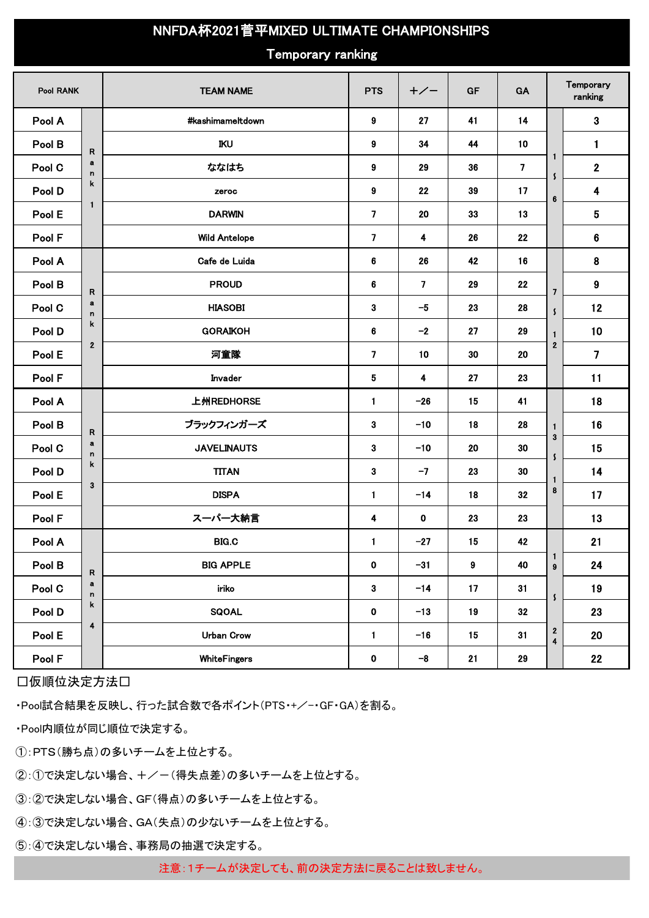## NNFDA杯2021菅平MIXED ULTIMATE CHAMPIONSHIPS

## Temporary ranking

| Pool RANK |                         | <b>TEAM NAME</b>     | <b>PTS</b>                  | $+/-$                   | GF                   | GA                                                     |                                       | Temporary<br>ranking    |
|-----------|-------------------------|----------------------|-----------------------------|-------------------------|----------------------|--------------------------------------------------------|---------------------------------------|-------------------------|
| Pool A    |                         | #kashimameltdown     | 9                           | 27                      | 41                   | 14                                                     |                                       | $\mathbf{3}$            |
| Pool B    | $\mathsf{R}$            | IKU                  | 9                           | 34                      | 44                   | 10                                                     |                                       | $\mathbf{1}$            |
| Pool C    | $\bf a$<br>n            | ななはち                 | 9                           | 29                      | 36<br>39             | $\overline{\mathbf{z}}$<br>$\mathsf{\mathsf{S}}$<br>17 | $\mathbf{1}$                          | $\boldsymbol{2}$        |
| Pool D    | k                       | zeroc                | 9                           | 22                      |                      |                                                        | 6                                     | $\overline{\mathbf{4}}$ |
| Pool E    | 1                       | <b>DARWIN</b>        | $\overline{7}$              | 20                      | 33                   | 13                                                     |                                       | 5                       |
| Pool F    |                         | <b>Wild Antelope</b> | $\overline{7}$              | $\blacktriangleleft$    | 26                   | 22                                                     |                                       | 6                       |
| Pool A    |                         | Cafe de Luida        | 6                           | 26                      | 42<br>16<br>29<br>22 |                                                        |                                       | 8                       |
| Pool B    | R                       | <b>PROUD</b>         | 6                           | $\overline{7}$          |                      | $\overline{7}$                                         |                                       | 9                       |
| Pool C    | $\mathbf a$<br>n        | <b>HIASOBI</b>       | 3                           |                         | 23                   | 28                                                     | $\mathsf{S}$                          | 12                      |
| Pool D    | k                       | <b>GORAIKOH</b>      | 6                           | $-2$                    | 27                   | 29                                                     | $\mathbf{1}$                          | 10                      |
| Pool E    | $\mathbf{2}$            | 河童隊                  | $\overline{7}$              | 10                      | 30                   | 20                                                     | $\overline{2}$                        | $\overline{7}$          |
| Pool F    |                         | Invader              | 5                           | $\overline{\mathbf{4}}$ | 27                   | 23                                                     |                                       | 11                      |
| Pool A    |                         | 上州REDHORSE           | 1                           | $-26$                   | 15                   | 41                                                     |                                       | 18                      |
| Pool B    | $\mathsf{R}$            | ブラックフィンガーズ           | $\mathbf{3}$<br>$-10$<br>18 |                         |                      | 28                                                     | $\mathbf{1}$                          | 16                      |
| Pool C    | $\mathbf a$<br>n        | <b>JAVELINAUTS</b>   | 3                           | $-10$                   | 20                   | 30                                                     | $\mathbf{3}$<br>$\mathsf{\mathsf{S}}$ | 15                      |
| Pool D    | k                       | <b>TITAN</b>         | 3                           | $-7$                    | 23                   | 30<br>1                                                |                                       | 14                      |
| Pool E    | $\mathbf{3}$            | <b>DISPA</b>         | $\mathbf{1}$                | $-14$                   | 18                   | 32                                                     | 8                                     | 17                      |
| Pool F    |                         | スーパー大納言              | 4                           | $\mathbf 0$             | 23                   | 23                                                     |                                       | 13                      |
| Pool A    |                         | <b>BIG.C</b>         | $\mathbf{1}$                | $-27$                   | 15                   | 42                                                     |                                       | 21                      |
| Pool B    | ${\sf R}$               | <b>BIG APPLE</b>     | $\mathbf 0$                 | $-31$                   | $\boldsymbol{9}$     | 40                                                     | $\mathbf{1}$<br>$\pmb{9}$             | 24                      |
| Pool C    | $\mathbf a$<br>n        | iriko                | $\overline{\mathbf{3}}$     | $-14$                   | 17                   | 31                                                     | $\mathsf{S}$                          | 19                      |
| Pool D    | k                       | SQOAL                | $\pmb{0}$                   | $-13$                   | 19                   | $32\phantom{a}$                                        |                                       | 23                      |
| Pool E    | $\overline{\mathbf{4}}$ | <b>Urban Crow</b>    | $\mathbf{1}$                | $-16$                   | 15                   | 31                                                     | $\frac{2}{4}$                         | 20                      |
| Pool F    |                         | <b>WhiteFingers</b>  | $\pmb{0}$                   | $-8$                    | 21                   | 29                                                     |                                       | 22                      |

□仮順位決定方法□

・Pool試合結果を反映し、行った試合数で各ポイント(PTS・+/-・GF・GA)を割る。

・Pool内順位が同じ順位で決定する。

①:PTS(勝ち点)の多いチームを上位とする。

②:①で決定しない場合、+/-(得失点差)の多いチームを上位とする。

③:②で決定しない場合、GF(得点)の多いチームを上位とする。

④:③で決定しない場合、GA(失点)の少ないチームを上位とする。

⑤:④で決定しない場合、事務局の抽選で決定する。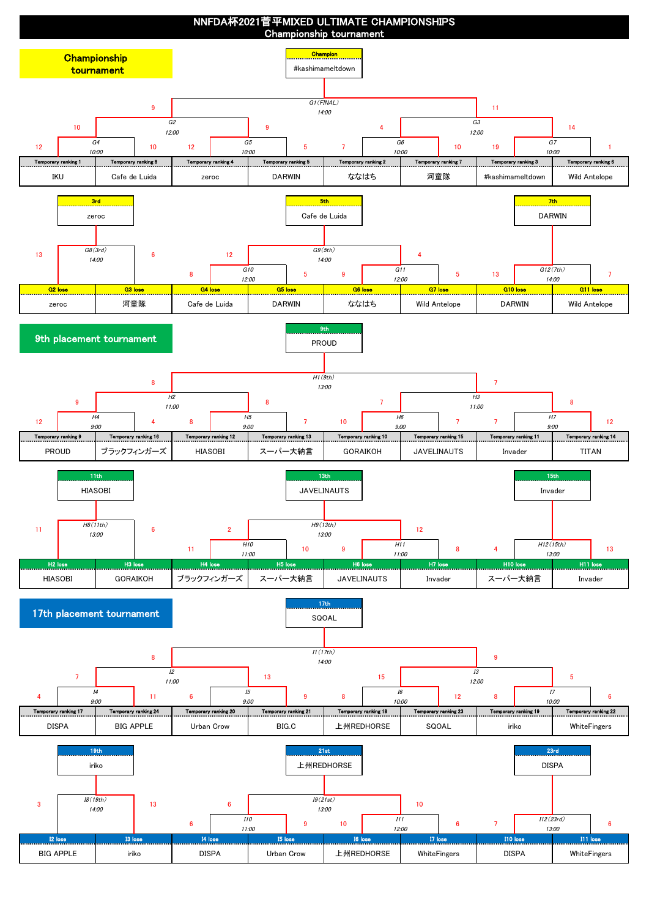